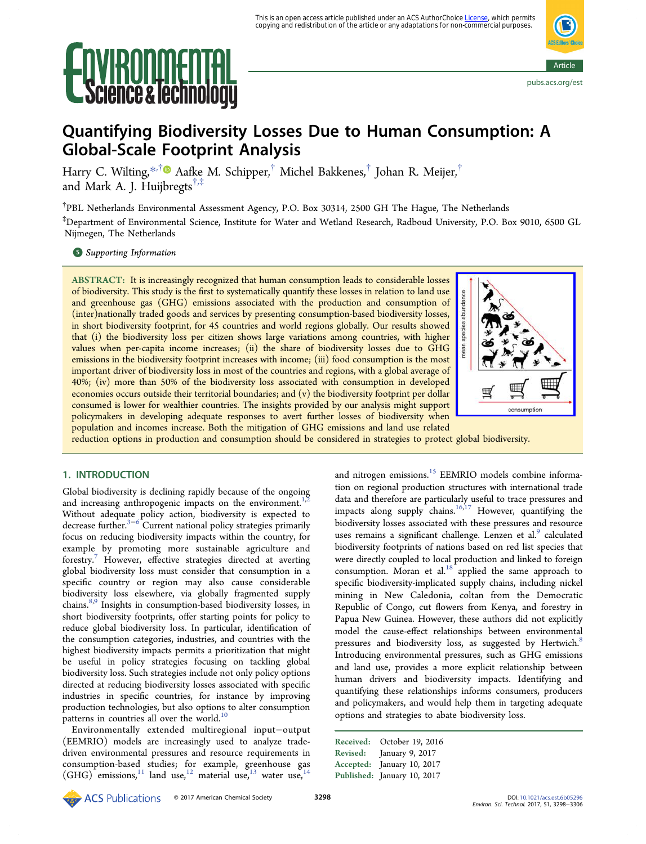# **Ce & lechnol**



<pubs.acs.org/est>

# Quantifying Biodiversity Losses Due to Human Consumption: A Global-Scale Footprint Analysis

Harry C. Wilting,[\\*](#page-6-0)<sup>,†</sup> Aafke M. Schipper,<sup>†</sup> Michel Bakkenes,<sup>†</sup> Johan R. Meijer,<sup>†</sup> and Mark A. J. Huijbregts<sup>†,‡</sup>

† PBL Netherlands Environmental Assessment Agency, P.O. Box 30314, 2500 GH The Hague, The Netherlands

‡ Department of Environmental Science, Institute for Water and Wetland Research, Radboud University, P.O. Box 9010, 6500 GL Nijmegen, The Netherlands

**S** [Supporting Information](#page-6-0)

ABSTRACT: It is increasingly recognized that human consumption leads to considerable losses of biodiversity. This study is the first to systematically quantify these losses in relation to land use and greenhouse gas (GHG) emissions associated with the production and consumption of (inter)nationally traded goods and services by presenting consumption-based biodiversity losses, in short biodiversity footprint, for 45 countries and world regions globally. Our results showed that (i) the biodiversity loss per citizen shows large variations among countries, with higher values when per-capita income increases; (ii) the share of biodiversity losses due to GHG emissions in the biodiversity footprint increases with income; (iii) food consumption is the most important driver of biodiversity loss in most of the countries and regions, with a global average of 40%; (iv) more than 50% of the biodiversity loss associated with consumption in developed economies occurs outside their territorial boundaries; and  $(v)$  the biodiversity footprint per dollar consumed is lower for wealthier countries. The insights provided by our analysis might support policymakers in developing adequate responses to avert further losses of biodiversity when population and incomes increase. Both the mitigation of GHG emissions and land use related



reduction options in production and consumption should be considered in strategies to protect global biodiversity.

# 1. INTRODUCTION

Global biodiversity is declining rapidly because of the ongoing and increasing anthropogenic impacts on the environment.<sup>[1](#page-6-0)</sup> Without adequate policy action, biodiversity is expected to decrease further.[3](#page-6-0)−[6](#page-7-0) Current national policy strategies primarily focus on reducing biodiversity impacts within the country, for example by promoting more sustainable agriculture and forestry. $\frac{7}{7}$  $\frac{7}{7}$  $\frac{7}{7}$  However, effective strategies directed at averting global biodiversity loss must consider that consumption in a specific country or region may also cause considerable biodiversity loss elsewhere, via globally fragmented supply chains.[8,9](#page-7-0) Insights in consumption-based biodiversity losses, in short biodiversity footprints, offer starting points for policy to reduce global biodiversity loss. In particular, identification of the consumption categories, industries, and countries with the highest biodiversity impacts permits a prioritization that might be useful in policy strategies focusing on tackling global biodiversity loss. Such strategies include not only policy options directed at reducing biodiversity losses associated with specific industries in specific countries, for instance by improving production technologies, but also options to alter consumption patterns in countries all over the world.<sup>[10](#page-7-0)</sup>

Environmentally extended multiregional input−output (EEMRIO) models are increasingly used to analyze tradedriven environmental pressures and resource requirements in consumption-based studies; for example, greenhouse gas  $(GHG)$  emissions,<sup>[11](#page-7-0)</sup> land use,<sup>[12](#page-7-0)</sup> material use,<sup>[13](#page-7-0)</sup> water use,

and nitrogen emissions.<sup>[15](#page-7-0)</sup> EEMRIO models combine information on regional production structures with international trade data and therefore are particularly useful to trace pressures and impacts along supply chains.<sup>[16](#page-7-0),[17](#page-7-0)</sup> However, quantifying the biodiversity losses associated with these pressures and resource uses remains a significant challenge. Lenzen et al.<sup>[9](#page-7-0)</sup> calculated biodiversity footprints of nations based on red list species that were directly coupled to local production and linked to foreign consumption. Moran et al. $18^{\circ}$  $18^{\circ}$  applied the same approach to specific biodiversity-implicated supply chains, including nickel mining in New Caledonia, coltan from the Democratic Republic of Congo, cut flowers from Kenya, and forestry in Papua New Guinea. However, these authors did not explicitly model the cause-effect relationships between environmental pressures and biodiversity loss, as suggested by Hertwich.<sup>[8](#page-7-0)</sup> Introducing environmental pressures, such as GHG emissions and land use, provides a more explicit relationship between human drivers and biodiversity impacts. Identifying and quantifying these relationships informs consumers, producers and policymakers, and would help them in targeting adequate options and strategies to abate biodiversity loss.

Received: October 19, 2016 Revised: January 9, 2017 Accepted: January 10, 2017 Published: January 10, 2017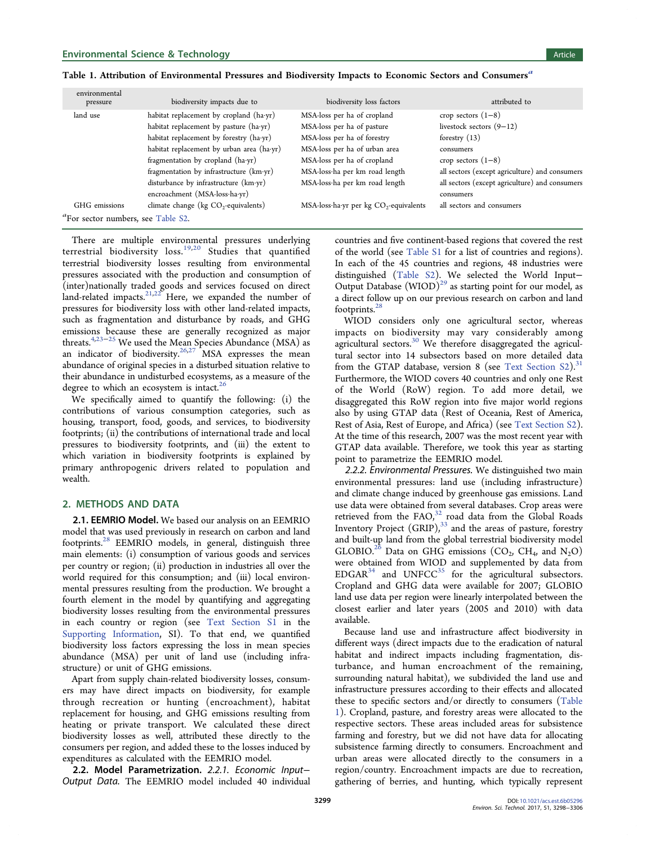| environmental<br>pressure                             | biodiversity impacts due to                     | biodiversity loss factors                 | attributed to                                  |
|-------------------------------------------------------|-------------------------------------------------|-------------------------------------------|------------------------------------------------|
| land use                                              | habitat replacement by cropland $(ha\cdot yr)$  | MSA-loss per ha of cropland               | crop sectors $(1-8)$                           |
|                                                       | habitat replacement by pasture $(ha \cdot yr)$  | MSA-loss per ha of pasture                | livestock sectors $(9-12)$                     |
|                                                       | habitat replacement by forestry $(ha \cdot yr)$ | MSA-loss per ha of forestry               | forestry $(13)$                                |
|                                                       | habitat replacement by urban area (ha·yr)       | MSA-loss per ha of urban area             | consumers                                      |
|                                                       | fragmentation by cropland $(ha \cdot yr)$       | MSA-loss per ha of cropland               | crop sectors $(1-8)$                           |
|                                                       | fragmentation by infrastructure $(km·yr)$       | MSA-loss-ha per km road length            | all sectors (except agriculture) and consumers |
|                                                       | disturbance by infrastructure $(km \cdot yr)$   | MSA-loss ha per km road length            | all sectors (except agriculture) and consumers |
|                                                       | encroachment (MSA-loss-ha-yr)                   |                                           | consumers                                      |
| GHG emissions                                         | climate change ( $kg CO2$ -equivalents)         | MSA-loss ha yr per kg $CO_2$ -equivalents | all sectors and consumers                      |
| <sup><i>a</i></sup> For sector numbers, see Table S2. |                                                 |                                           |                                                |

There are multiple environmental pressures underlying terrestrial biodiversity loss.<sup>[19](#page-7-0),[20](#page-7-0)</sup> Studies that quantified terrestrial biodiversity losses resulting from environmental pressures associated with the production and consumption of (inter)nationally traded goods and services focused on direct land-related impacts. $2^{1,22}$  Here, we expanded the number of pressures for biodiversity loss with other land-related impacts, such as fragmentation and disturbance by roads, and GHG emissions because these are generally recognized as major threats.[4,](#page-6-0)[23](#page-7-0)−[25](#page-7-0) We used the Mean Species Abundance (MSA) as an indicator of biodiversity. $26,27$  $26,27$  $26,27$  MSA expresses the mean abundance of original species in a disturbed situation relative to their abundance in undisturbed ecosystems, as a measure of the degree to which an ecosystem is intact.<sup>[26](#page-7-0)</sup>

We specifically aimed to quantify the following: (i) the contributions of various consumption categories, such as housing, transport, food, goods, and services, to biodiversity footprints; (ii) the contributions of international trade and local pressures to biodiversity footprints, and (iii) the extent to which variation in biodiversity footprints is explained by primary anthropogenic drivers related to population and wealth.

# 2. METHODS AND DATA

2.1. EEMRIO Model. We based our analysis on an EEMRIO model that was used previously in research on carbon and land footprints.[28](#page-7-0) EEMRIO models, in general, distinguish three main elements: (i) consumption of various goods and services per country or region; (ii) production in industries all over the world required for this consumption; and (iii) local environmental pressures resulting from the production. We brought a fourth element in the model by quantifying and aggregating biodiversity losses resulting from the environmental pressures in each country or region (see [Text Section S1](http://pubs.acs.org/doi/suppl/10.1021/acs.est.6b05296/suppl_file/es6b05296_si_001.pdf) in the [Supporting Information,](#page-6-0) SI). To that end, we quantified biodiversity loss factors expressing the loss in mean species abundance (MSA) per unit of land use (including infrastructure) or unit of GHG emissions.

Apart from supply chain-related biodiversity losses, consumers may have direct impacts on biodiversity, for example through recreation or hunting (encroachment), habitat replacement for housing, and GHG emissions resulting from heating or private transport. We calculated these direct biodiversity losses as well, attributed these directly to the consumers per region, and added these to the losses induced by expenditures as calculated with the EEMRIO model.

2.2. Model Parametrization. 2.2.1. Economic Input− Output Data. The EEMRIO model included 40 individual

countries and five continent-based regions that covered the rest of the world (see [Table S1](http://pubs.acs.org/doi/suppl/10.1021/acs.est.6b05296/suppl_file/es6b05296_si_001.pdf) for a list of countries and regions). In each of the 45 countries and regions, 48 industries were distinguished [\(Table S2](http://pubs.acs.org/doi/suppl/10.1021/acs.est.6b05296/suppl_file/es6b05296_si_001.pdf)). We selected the World Input− Output Database  $(WIOD)^{29}$  $(WIOD)^{29}$  $(WIOD)^{29}$  as starting point for our model, as a direct follow up on our previous research on carbon and land footprints. $28$ 

WIOD considers only one agricultural sector, whereas impacts on biodiversity may vary considerably among agricultural sectors.<sup>[30](#page-7-0)</sup> We therefore disaggregated the agricultural sector into 14 subsectors based on more detailed data from the GTAP database, version 8 (see [Text Section S2\)](http://pubs.acs.org/doi/suppl/10.1021/acs.est.6b05296/suppl_file/es6b05296_si_001.pdf).<sup>[31](#page-7-0)</sup> Furthermore, the WIOD covers 40 countries and only one Rest of the World (RoW) region. To add more detail, we disaggregated this RoW region into five major world regions also by using GTAP data (Rest of Oceania, Rest of America, Rest of Asia, Rest of Europe, and Africa) (see [Text Section S2\)](http://pubs.acs.org/doi/suppl/10.1021/acs.est.6b05296/suppl_file/es6b05296_si_001.pdf). At the time of this research, 2007 was the most recent year with GTAP data available. Therefore, we took this year as starting point to parametrize the EEMRIO model.

2.2.2. Environmental Pressures. We distinguished two main environmental pressures: land use (including infrastructure) and climate change induced by greenhouse gas emissions. Land use data were obtained from several databases. Crop areas were retrieved from the FAO, $32$  road data from the Global Roads Inventory Project  $(GRIP),^{33}$  $(GRIP),^{33}$  $(GRIP),^{33}$  and the areas of pasture, forestry and built-up land from the global terrestrial biodiversity model GLOBIO.<sup>[26](#page-7-0)</sup> Data on GHG emissions (CO<sub>2</sub>, CH<sub>4</sub>, and N<sub>2</sub>O) were obtained from WIOD and supplemented by data from  $EDGAR<sup>34</sup>$  $EDGAR<sup>34</sup>$  $EDGAR<sup>34</sup>$  and  $UNFCC<sup>35</sup>$  $UNFCC<sup>35</sup>$  $UNFCC<sup>35</sup>$  for the agricultural subsectors. Cropland and GHG data were available for 2007; GLOBIO land use data per region were linearly interpolated between the closest earlier and later years (2005 and 2010) with data available.

Because land use and infrastructure affect biodiversity in different ways (direct impacts due to the eradication of natural habitat and indirect impacts including fragmentation, disturbance, and human encroachment of the remaining, surrounding natural habitat), we subdivided the land use and infrastructure pressures according to their effects and allocated these to specific sectors and/or directly to consumers (Table 1). Cropland, pasture, and forestry areas were allocated to the respective sectors. These areas included areas for subsistence farming and forestry, but we did not have data for allocating subsistence farming directly to consumers. Encroachment and urban areas were allocated directly to the consumers in a region/country. Encroachment impacts are due to recreation, gathering of berries, and hunting, which typically represent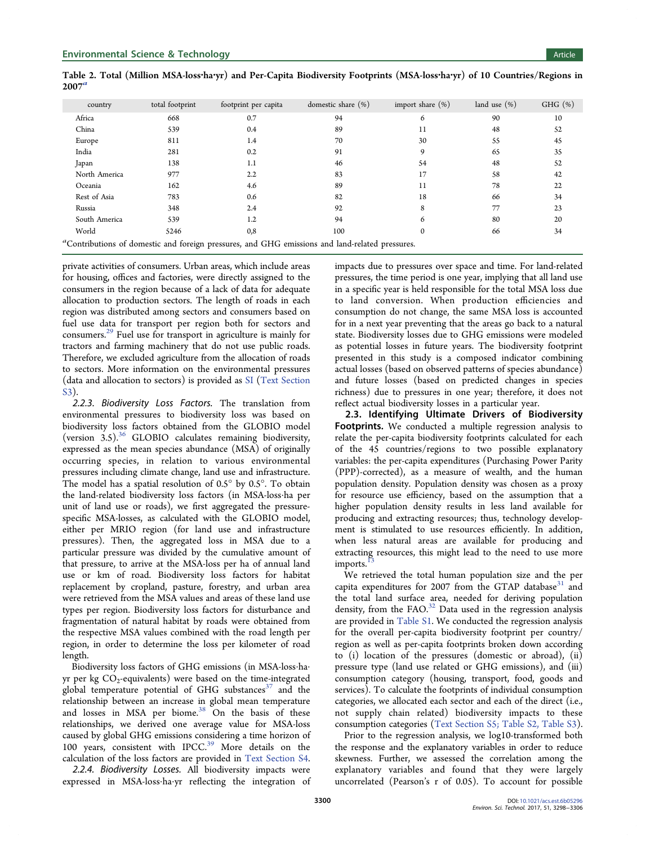| country                                                                                                     | total footprint | footprint per capita | domestic share $(\%)$ | import share $(\%)$ | land use $(\%)$ | GHG $(\%)$ |  |
|-------------------------------------------------------------------------------------------------------------|-----------------|----------------------|-----------------------|---------------------|-----------------|------------|--|
| Africa                                                                                                      | 668             | 0.7                  | 94                    | 6                   | 90              | 10         |  |
| China                                                                                                       | 539             | 0.4                  | 89                    | 11                  | 48              | 52         |  |
| Europe                                                                                                      | 811             | 1.4                  | 70                    | 30                  | 55              | 45         |  |
| India                                                                                                       | 281             | 0.2                  | 91                    | 9                   | 65              | 35         |  |
| Japan                                                                                                       | 138             | 1.1                  | 46                    | 54                  | 48              | 52         |  |
| North America                                                                                               | 977             | 2.2                  | 83                    | 17                  | 58              | 42         |  |
| Oceania                                                                                                     | 162             | 4.6                  | 89                    | 11                  | 78              | 22         |  |
| Rest of Asia                                                                                                | 783             | 0.6                  | 82                    | 18                  | 66              | 34         |  |
| Russia                                                                                                      | 348             | 2.4                  | 92                    | 8                   | 77              | 23         |  |
| South America                                                                                               | 539             | 1.2                  | 94                    | 6                   | 80              | 20         |  |
| World                                                                                                       | 5246            | 0,8                  | 100                   |                     | 66              | 34         |  |
| <sup>a</sup> Contributions of domestic and foreign pressures, and GHG emissions and land-related pressures. |                 |                      |                       |                     |                 |            |  |

<span id="page-2-0"></span>Table 2. Total (Million MSA-loss·ha·yr) and Per-Capita Biodiversity Footprints (MSA-loss·ha·yr) of 10 Countries/Regions in 200 $7^a$ 

private activities of consumers. Urban areas, which include areas for housing, offices and factories, were directly assigned to the consumers in the region because of a lack of data for adequate allocation to production sectors. The length of roads in each region was distributed among sectors and consumers based on fuel use data for transport per region both for sectors and consumers.[29](#page-7-0) Fuel use for transport in agriculture is mainly for tractors and farming machinery that do not use public roads. Therefore, we excluded agriculture from the allocation of roads to sectors. More information on the environmental pressures (data and allocation to sectors) is provided as [SI](http://pubs.acs.org/doi/suppl/10.1021/acs.est.6b05296/suppl_file/es6b05296_si_001.pdf) [\(Text Section](http://pubs.acs.org/doi/suppl/10.1021/acs.est.6b05296/suppl_file/es6b05296_si_001.pdf) [S3\)](http://pubs.acs.org/doi/suppl/10.1021/acs.est.6b05296/suppl_file/es6b05296_si_001.pdf).

2.2.3. Biodiversity Loss Factors. The translation from environmental pressures to biodiversity loss was based on biodiversity loss factors obtained from the GLOBIO model (version 3.5).[36](#page-7-0) GLOBIO calculates remaining biodiversity, expressed as the mean species abundance (MSA) of originally occurring species, in relation to various environmental pressures including climate change, land use and infrastructure. The model has a spatial resolution of 0.5° by 0.5°. To obtain the land-related biodiversity loss factors (in MSA-loss·ha per unit of land use or roads), we first aggregated the pressurespecific MSA-losses, as calculated with the GLOBIO model, either per MRIO region (for land use and infrastructure pressures). Then, the aggregated loss in MSA due to a particular pressure was divided by the cumulative amount of that pressure, to arrive at the MSA-loss per ha of annual land use or km of road. Biodiversity loss factors for habitat replacement by cropland, pasture, forestry, and urban area were retrieved from the MSA values and areas of these land use types per region. Biodiversity loss factors for disturbance and fragmentation of natural habitat by roads were obtained from the respective MSA values combined with the road length per region, in order to determine the loss per kilometer of road length.

Biodiversity loss factors of GHG emissions (in MSA-loss·ha· yr per kg  $CO_2$ -equivalents) were based on the time-integrated global temperature potential of GHG substances $37$  and the relationship between an increase in global mean temperature and losses in MSA per biome.<sup>[38](#page-8-0)</sup> On the basis of these relationships, we derived one average value for MSA-loss caused by global GHG emissions considering a time horizon of 100 years, consistent with IPCC.<sup>[39](#page-8-0)</sup> More details on the calculation of the loss factors are provided in [Text Section S4](http://pubs.acs.org/doi/suppl/10.1021/acs.est.6b05296/suppl_file/es6b05296_si_001.pdf).

2.2.4. Biodiversity Losses. All biodiversity impacts were expressed in MSA-loss·ha·yr reflecting the integration of impacts due to pressures over space and time. For land-related pressures, the time period is one year, implying that all land use in a specific year is held responsible for the total MSA loss due to land conversion. When production efficiencies and consumption do not change, the same MSA loss is accounted for in a next year preventing that the areas go back to a natural state. Biodiversity losses due to GHG emissions were modeled as potential losses in future years. The biodiversity footprint presented in this study is a composed indicator combining actual losses (based on observed patterns of species abundance) and future losses (based on predicted changes in species richness) due to pressures in one year; therefore, it does not reflect actual biodiversity losses in a particular year.

2.3. Identifying Ultimate Drivers of Biodiversity Footprints. We conducted a multiple regression analysis to relate the per-capita biodiversity footprints calculated for each of the 45 countries/regions to two possible explanatory variables: the per-capita expenditures (Purchasing Power Parity (PPP)-corrected), as a measure of wealth, and the human population density. Population density was chosen as a proxy for resource use efficiency, based on the assumption that a higher population density results in less land available for producing and extracting resources; thus, technology development is stimulated to use resources efficiently. In addition, when less natural areas are available for producing and extracting resources, this might lead to the need to use more imports.

We retrieved the total human population size and the per capita expenditures for 2007 from the GTAP database<sup>[31](#page-7-0)</sup> and the total land surface area, needed for deriving population density, from the FAO. $32$  Data used in the regression analysis are provided in [Table S1](http://pubs.acs.org/doi/suppl/10.1021/acs.est.6b05296/suppl_file/es6b05296_si_001.pdf). We conducted the regression analysis for the overall per-capita biodiversity footprint per country/ region as well as per-capita footprints broken down according to (i) location of the pressures (domestic or abroad), (ii) pressure type (land use related or GHG emissions), and (iii) consumption category (housing, transport, food, goods and services). To calculate the footprints of individual consumption categories, we allocated each sector and each of the direct (i.e., not supply chain related) biodiversity impacts to these consumption categories ([Text Section S5; Table S2, Table S3\)](http://pubs.acs.org/doi/suppl/10.1021/acs.est.6b05296/suppl_file/es6b05296_si_001.pdf).

Prior to the regression analysis, we log10-transformed both the response and the explanatory variables in order to reduce skewness. Further, we assessed the correlation among the explanatory variables and found that they were largely uncorrelated (Pearson's r of 0.05). To account for possible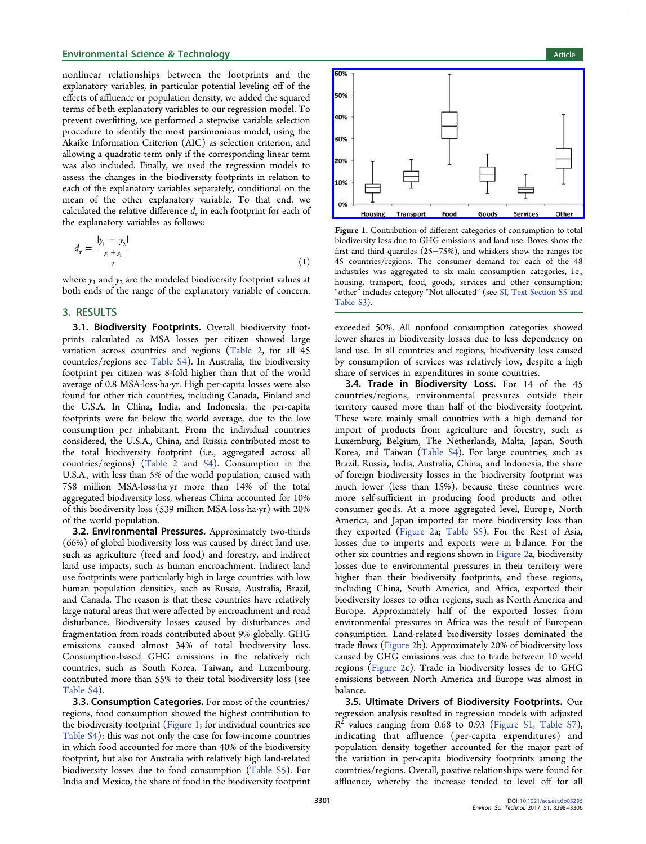<span id="page-3-0"></span>nonlinear relationships between the footprints and the explanatory variables, in particular potential leveling off of the effects of affluence or population density, we added the squared terms of both explanatory variables to our regression model. To prevent overfitting, we performed a stepwise variable selection procedure to identify the most parsimonious model, using the Akaike Information Criterion (AIC) as selection criterion, and allowing a quadratic term only if the corresponding linear term was also included. Finally, we used the regression models to assess the changes in the biodiversity footprints in relation to each of the explanatory variables separately, conditional on the mean of the other explanatory variable. To that end, we calculated the relative difference  $d_r$  in each footprint for each of the explanatory variables as follows:

$$
d_{\rm r} = \frac{|y_1 - y_2|}{\frac{y_1 + y_2}{2}} \tag{1}
$$

where  $y_1$  and  $y_2$  are the modeled biodiversity footprint values at both ends of the range of the explanatory variable of concern.

#### 3. RESULTS

3.1. Biodiversity Footprints. Overall biodiversity footprints calculated as MSA losses per citizen showed large variation across countries and regions [\(Table 2,](#page-2-0) for all 45 countries/regions see [Table S4](http://pubs.acs.org/doi/suppl/10.1021/acs.est.6b05296/suppl_file/es6b05296_si_001.pdf)). In Australia, the biodiversity footprint per citizen was 8-fold higher than that of the world average of 0.8 MSA-loss·ha·yr. High per-capita losses were also found for other rich countries, including Canada, Finland and the U.S.A. In China, India, and Indonesia, the per-capita footprints were far below the world average, due to the low consumption per inhabitant. From the individual countries considered, the U.S.A., China, and Russia contributed most to the total biodiversity footprint (i.e., aggregated across all countries/regions) [\(Table 2](#page-2-0) and [S4](http://pubs.acs.org/doi/suppl/10.1021/acs.est.6b05296/suppl_file/es6b05296_si_001.pdf)). Consumption in the U.S.A., with less than 5% of the world population, caused with 758 million MSA-loss·ha·yr more than 14% of the total aggregated biodiversity loss, whereas China accounted for 10% of this biodiversity loss (539 million MSA-loss·ha·yr) with 20% of the world population.

3.2. Environmental Pressures. Approximately two-thirds (66%) of global biodiversity loss was caused by direct land use, such as agriculture (feed and food) and forestry, and indirect land use impacts, such as human encroachment. Indirect land use footprints were particularly high in large countries with low human population densities, such as Russia, Australia, Brazil, and Canada. The reason is that these countries have relatively large natural areas that were affected by encroachment and road disturbance. Biodiversity losses caused by disturbances and fragmentation from roads contributed about 9% globally. GHG emissions caused almost 34% of total biodiversity loss. Consumption-based GHG emissions in the relatively rich countries, such as South Korea, Taiwan, and Luxembourg, contributed more than 55% to their total biodiversity loss (see [Table S4\)](http://pubs.acs.org/doi/suppl/10.1021/acs.est.6b05296/suppl_file/es6b05296_si_001.pdf).

3.3. Consumption Categories. For most of the countries/ regions, food consumption showed the highest contribution to the biodiversity footprint (Figure 1; for individual countries see [Table S4](http://pubs.acs.org/doi/suppl/10.1021/acs.est.6b05296/suppl_file/es6b05296_si_001.pdf)); this was not only the case for low-income countries in which food accounted for more than 40% of the biodiversity footprint, but also for Australia with relatively high land-related biodiversity losses due to food consumption [\(Table S5](http://pubs.acs.org/doi/suppl/10.1021/acs.est.6b05296/suppl_file/es6b05296_si_001.pdf)). For India and Mexico, the share of food in the biodiversity footprint



Figure 1. Contribution of different categories of consumption to total biodiversity loss due to GHG emissions and land use. Boxes show the first and third quartiles (25−75%), and whiskers show the ranges for 45 countries/regions. The consumer demand for each of the 48 industries was aggregated to six main consumption categories, i.e., housing, transport, food, goods, services and other consumption; "other" includes category "Not allocated" (see [SI, Text Section S5 and](http://pubs.acs.org/doi/suppl/10.1021/acs.est.6b05296/suppl_file/es6b05296_si_001.pdf) [Table S3](http://pubs.acs.org/doi/suppl/10.1021/acs.est.6b05296/suppl_file/es6b05296_si_001.pdf)).

exceeded 50%. All nonfood consumption categories showed lower shares in biodiversity losses due to less dependency on land use. In all countries and regions, biodiversity loss caused by consumption of services was relatively low, despite a high share of services in expenditures in some countries.

3.4. Trade in Biodiversity Loss. For 14 of the 45 countries/regions, environmental pressures outside their territory caused more than half of the biodiversity footprint. These were mainly small countries with a high demand for import of products from agriculture and forestry, such as Luxemburg, Belgium, The Netherlands, Malta, Japan, South Korea, and Taiwan [\(Table S4\)](http://pubs.acs.org/doi/suppl/10.1021/acs.est.6b05296/suppl_file/es6b05296_si_001.pdf). For large countries, such as Brazil, Russia, India, Australia, China, and Indonesia, the share of foreign biodiversity losses in the biodiversity footprint was much lower (less than 15%), because these countries were more self-sufficient in producing food products and other consumer goods. At a more aggregated level, Europe, North America, and Japan imported far more biodiversity loss than they exported [\(Figure 2a](#page-4-0); [Table S5\)](http://pubs.acs.org/doi/suppl/10.1021/acs.est.6b05296/suppl_file/es6b05296_si_001.pdf). For the Rest of Asia, losses due to imports and exports were in balance. For the other six countries and regions shown in [Figure 2](#page-4-0)a, biodiversity losses due to environmental pressures in their territory were higher than their biodiversity footprints, and these regions, including China, South America, and Africa, exported their biodiversity losses to other regions, such as North America and Europe. Approximately half of the exported losses from environmental pressures in Africa was the result of European consumption. Land-related biodiversity losses dominated the trade flows [\(Figure 2b](#page-4-0)). Approximately 20% of biodiversity loss caused by GHG emissions was due to trade between 10 world regions ([Figure 2c](#page-4-0)). Trade in biodiversity losses de to GHG emissions between North America and Europe was almost in balance.

3.5. Ultimate Drivers of Biodiversity Footprints. Our regression analysis resulted in regression models with adjusted  $R<sup>2</sup>$  values ranging from 0.68 to 0.93 [\(Figure S1, Table S7\)](http://pubs.acs.org/doi/suppl/10.1021/acs.est.6b05296/suppl_file/es6b05296_si_001.pdf), indicating that affluence (per-capita expenditures) and population density together accounted for the major part of the variation in per-capita biodiversity footprints among the countries/regions. Overall, positive relationships were found for affluence, whereby the increase tended to level off for all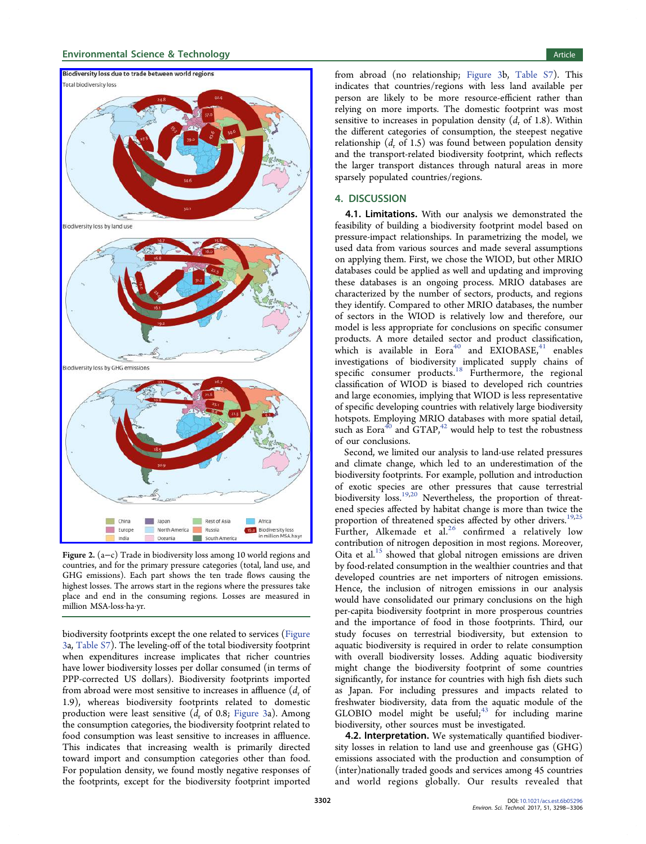<span id="page-4-0"></span>

Figure 2. (a−c) Trade in biodiversity loss among 10 world regions and countries, and for the primary pressure categories (total, land use, and GHG emissions). Each part shows the ten trade flows causing the highest losses. The arrows start in the regions where the pressures take place and end in the consuming regions. Losses are measured in million MSA-loss·ha·yr.

biodiversity footprints except the one related to services [\(Figure](#page-5-0) [3](#page-5-0)a, [Table S7\)](http://pubs.acs.org/doi/suppl/10.1021/acs.est.6b05296/suppl_file/es6b05296_si_001.pdf). The leveling-off of the total biodiversity footprint when expenditures increase implicates that richer countries have lower biodiversity losses per dollar consumed (in terms of PPP-corrected US dollars). Biodiversity footprints imported from abroad were most sensitive to increases in affluence  $(d<sub>r</sub>$  of 1.9), whereas biodiversity footprints related to domestic production were least sensitive  $(d_r \text{ of } 0.8; \text{ Figure } 3a)$ . Among the consumption categories, the biodiversity footprint related to food consumption was least sensitive to increases in affluence. This indicates that increasing wealth is primarily directed toward import and consumption categories other than food. For population density, we found mostly negative responses of the footprints, except for the biodiversity footprint imported

from abroad (no relationship; [Figure 3b](#page-5-0), [Table S7\)](http://pubs.acs.org/doi/suppl/10.1021/acs.est.6b05296/suppl_file/es6b05296_si_001.pdf). This indicates that countries/regions with less land available per person are likely to be more resource-efficient rather than relying on more imports. The domestic footprint was most sensitive to increases in population density  $(d_{\rm r}$  of 1.8). Within the different categories of consumption, the steepest negative relationship  $(d<sub>r</sub>$  of 1.5) was found between population density and the transport-related biodiversity footprint, which reflects the larger transport distances through natural areas in more sparsely populated countries/regions.

# 4. DISCUSSION

4.1. Limitations. With our analysis we demonstrated the feasibility of building a biodiversity footprint model based on pressure-impact relationships. In parametrizing the model, we used data from various sources and made several assumptions on applying them. First, we chose the WIOD, but other MRIO databases could be applied as well and updating and improving these databases is an ongoing process. MRIO databases are characterized by the number of sectors, products, and regions they identify. Compared to other MRIO databases, the number of sectors in the WIOD is relatively low and therefore, our model is less appropriate for conclusions on specific consumer products. A more detailed sector and product classification, which is available in  $Eora^{40}$  $Eora^{40}$  $Eora^{40}$  and  $EXIOBASE<sup>{41}</sup>$  $EXIOBASE<sup>{41}</sup>$  $EXIOBASE<sup>{41}</sup>$  enables investigations of biodiversity implicated supply chains of specific consumer products.<sup>[18](#page-7-0)</sup> Furthermore, the regional classification of WIOD is biased to developed rich countries and large economies, implying that WIOD is less representative of specific developing countries with relatively large biodiversity hotspots. Employing MRIO databases with more spatial detail, such as  $Eora^{40}$  $Eora^{40}$  $Eora^{40}$  and  $GTAP, ^{42}$  $GTAP, ^{42}$  $GTAP, ^{42}$  would help to test the robustness of our conclusions.

Second, we limited our analysis to land-use related pressures and climate change, which led to an underestimation of the biodiversity footprints. For example, pollution and introduction of exotic species are other pressures that cause terrestrial biodiversity loss.<sup>[19,20](#page-7-0)</sup> Nevertheless, the proportion of threatened species affected by habitat change is more than twice the proportion of threatened species affected by other drivers.<sup>[19,25](#page-7-0)</sup> Further, Alkemade et  $a^{26}$  $a^{26}$  $a^{26}$  confirmed a relatively low contribution of nitrogen deposition in most regions. Moreover, Oita et al. $^{15}$  $^{15}$  $^{15}$  showed that global nitrogen emissions are driven by food-related consumption in the wealthier countries and that developed countries are net importers of nitrogen emissions. Hence, the inclusion of nitrogen emissions in our analysis would have consolidated our primary conclusions on the high per-capita biodiversity footprint in more prosperous countries and the importance of food in those footprints. Third, our study focuses on terrestrial biodiversity, but extension to aquatic biodiversity is required in order to relate consumption with overall biodiversity losses. Adding aquatic biodiversity might change the biodiversity footprint of some countries significantly, for instance for countries with high fish diets such as Japan. For including pressures and impacts related to freshwater biodiversity, data from the aquatic module of the GLOBIO model might be useful; $43$  for including marine biodiversity, other sources must be investigated.

4.2. Interpretation. We systematically quantified biodiversity losses in relation to land use and greenhouse gas (GHG) emissions associated with the production and consumption of (inter)nationally traded goods and services among 45 countries and world regions globally. Our results revealed that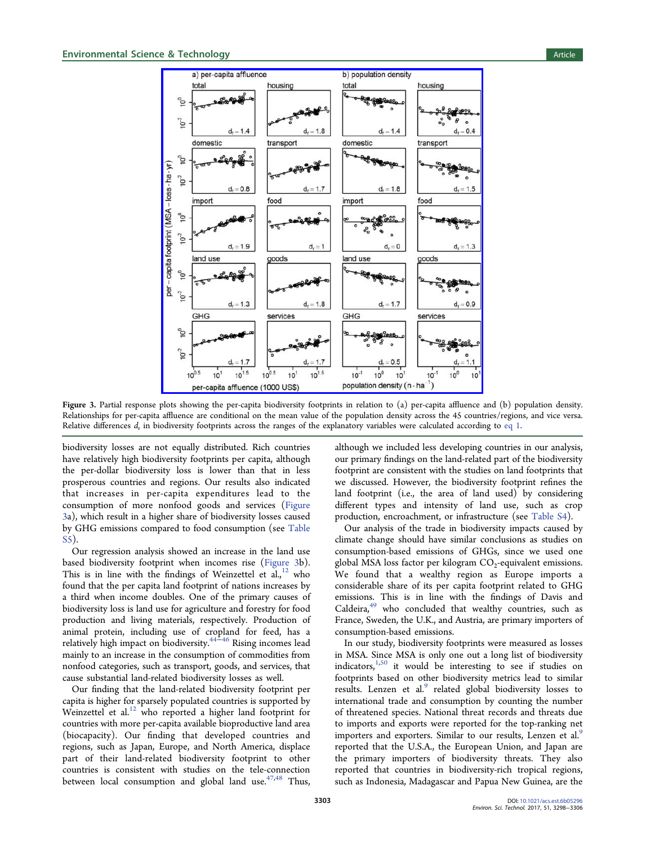<span id="page-5-0"></span>

Figure 3. Partial response plots showing the per-capita biodiversity footprints in relation to (a) per-capita affluence and (b) population density. Relationships for per-capita affluence are conditional on the mean value of the population density across the 45 countries/regions, and vice versa. Relative differences  $d_r$  in biodiversity footprints across the ranges of the explanatory variables were calculated according to [eq 1.](#page-3-0)

biodiversity losses are not equally distributed. Rich countries have relatively high biodiversity footprints per capita, although the per-dollar biodiversity loss is lower than that in less prosperous countries and regions. Our results also indicated that increases in per-capita expenditures lead to the consumption of more nonfood goods and services (Figure 3a), which result in a higher share of biodiversity losses caused by GHG emissions compared to food consumption (see [Table](http://pubs.acs.org/doi/suppl/10.1021/acs.est.6b05296/suppl_file/es6b05296_si_001.pdf) [S5\)](http://pubs.acs.org/doi/suppl/10.1021/acs.est.6b05296/suppl_file/es6b05296_si_001.pdf).

Our regression analysis showed an increase in the land use based biodiversity footprint when incomes rise (Figure 3b). This is in line with the findings of Weinzettel et  $al$ ,  $12$  who found that the per capita land footprint of nations increases by a third when income doubles. One of the primary causes of biodiversity loss is land use for agriculture and forestry for food production and living materials, respectively. Production of animal protein, including use of cropland for feed, has a relatively high impact on biodiversity.<sup>[44](#page-8-0)2[46](#page-8-0)</sup> Rising incomes lead mainly to an increase in the consumption of commodities from nonfood categories, such as transport, goods, and services, that cause substantial land-related biodiversity losses as well.

Our finding that the land-related biodiversity footprint per capita is higher for sparsely populated countries is supported by Weinzettel et al.<sup>[12](#page-7-0)</sup> who reported a higher land footprint for countries with more per-capita available bioproductive land area (biocapacity). Our finding that developed countries and regions, such as Japan, Europe, and North America, displace part of their land-related biodiversity footprint to other countries is consistent with studies on the tele-connection between local consumption and global land use.<sup>[47](#page-8-0),[48](#page-8-0)</sup> Thus,

although we included less developing countries in our analysis, our primary findings on the land-related part of the biodiversity footprint are consistent with the studies on land footprints that we discussed. However, the biodiversity footprint refines the land footprint (i.e., the area of land used) by considering different types and intensity of land use, such as crop production, encroachment, or infrastructure (see [Table S4](http://pubs.acs.org/doi/suppl/10.1021/acs.est.6b05296/suppl_file/es6b05296_si_001.pdf)).

Our analysis of the trade in biodiversity impacts caused by climate change should have similar conclusions as studies on consumption-based emissions of GHGs, since we used one global MSA loss factor per kilogram  $CO_2$ -equivalent emissions. We found that a wealthy region as Europe imports a considerable share of its per capita footprint related to GHG emissions. This is in line with the findings of Davis and Caldeira, $49$  who concluded that wealthy countries, such as France, Sweden, the U.K., and Austria, are primary importers of consumption-based emissions.

In our study, biodiversity footprints were measured as losses in MSA. Since MSA is only one out a long list of biodiversity indicators,  $1,50$  $1,50$  it would be interesting to see if studies on footprints based on other biodiversity metrics lead to similar results. Lenzen et al.<sup>[9](#page-7-0)</sup> related global biodiversity losses to international trade and consumption by counting the number of threatened species. National threat records and threats due to imports and exports were reported for the top-ranking net importers and exporters. Similar to our results, Lenzen et al.<sup>[9](#page-7-0)</sup> reported that the U.S.A., the European Union, and Japan are the primary importers of biodiversity threats. They also reported that countries in biodiversity-rich tropical regions, such as Indonesia, Madagascar and Papua New Guinea, are the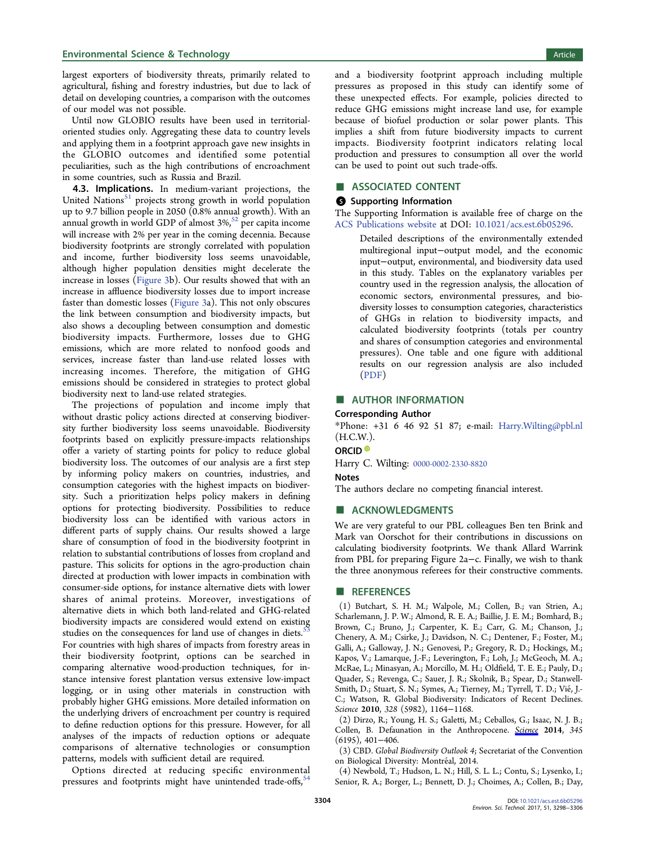<span id="page-6-0"></span>largest exporters of biodiversity threats, primarily related to agricultural, fishing and forestry industries, but due to lack of detail on developing countries, a comparison with the outcomes of our model was not possible.

Until now GLOBIO results have been used in territorialoriented studies only. Aggregating these data to country levels and applying them in a footprint approach gave new insights in the GLOBIO outcomes and identified some potential peculiarities, such as the high contributions of encroachment in some countries, such as Russia and Brazil.

4.3. Implications. In medium-variant projections, the United Nations<sup>[51](#page-8-0)</sup> projects strong growth in world population up to 9.7 billion people in 2050 (0.8% annual growth). With an annual growth in world GDP of almost  $3\%$ <sup>[52](#page-8-0)</sup> per capita income will increase with 2% per year in the coming decennia. Because biodiversity footprints are strongly correlated with population and income, further biodiversity loss seems unavoidable, although higher population densities might decelerate the increase in losses [\(Figure 3](#page-5-0)b). Our results showed that with an increase in affluence biodiversity losses due to import increase faster than domestic losses ([Figure 3](#page-5-0)a). This not only obscures the link between consumption and biodiversity impacts, but also shows a decoupling between consumption and domestic biodiversity impacts. Furthermore, losses due to GHG emissions, which are more related to nonfood goods and services, increase faster than land-use related losses with increasing incomes. Therefore, the mitigation of GHG emissions should be considered in strategies to protect global biodiversity next to land-use related strategies.

The projections of population and income imply that without drastic policy actions directed at conserving biodiversity further biodiversity loss seems unavoidable. Biodiversity footprints based on explicitly pressure-impacts relationships offer a variety of starting points for policy to reduce global biodiversity loss. The outcomes of our analysis are a first step by informing policy makers on countries, industries, and consumption categories with the highest impacts on biodiversity. Such a prioritization helps policy makers in defining options for protecting biodiversity. Possibilities to reduce biodiversity loss can be identified with various actors in different parts of supply chains. Our results showed a large share of consumption of food in the biodiversity footprint in relation to substantial contributions of losses from cropland and pasture. This solicits for options in the agro-production chain directed at production with lower impacts in combination with consumer-side options, for instance alternative diets with lower shares of animal proteins. Moreover, investigations of alternative diets in which both land-related and GHG-related biodiversity impacts are considered would extend on existing studies on the consequences for land use of changes in diets.<sup>[53](#page-8-0)</sup> For countries with high shares of impacts from forestry areas in their biodiversity footprint, options can be searched in comparing alternative wood-production techniques, for instance intensive forest plantation versus extensive low-impact logging, or in using other materials in construction with probably higher GHG emissions. More detailed information on the underlying drivers of encroachment per country is required to define reduction options for this pressure. However, for all analyses of the impacts of reduction options or adequate comparisons of alternative technologies or consumption patterns, models with sufficient detail are required.

Options directed at reducing specific environmental pressures and footprints might have unintended trade-offs,<sup>[54](#page-8-0)</sup>

and a biodiversity footprint approach including multiple pressures as proposed in this study can identify some of these unexpected effects. For example, policies directed to reduce GHG emissions might increase land use, for example because of biofuel production or solar power plants. This implies a shift from future biodiversity impacts to current impacts. Biodiversity footprint indicators relating local production and pressures to consumption all over the world can be used to point out such trade-offs.

## ■ ASSOCIATED CONTENT

#### **3** Supporting Information

The Supporting Information is available free of charge on the [ACS Publications website](http://pubs.acs.org) at DOI: [10.1021/acs.est.6b05296](http://pubs.acs.org/doi/abs/10.1021/acs.est.6b05296).

Detailed descriptions of the environmentally extended multiregional input−output model, and the economic input−output, environmental, and biodiversity data used in this study. Tables on the explanatory variables per country used in the regression analysis, the allocation of economic sectors, environmental pressures, and biodiversity losses to consumption categories, characteristics of GHGs in relation to biodiversity impacts, and calculated biodiversity footprints (totals per country and shares of consumption categories and environmental pressures). One table and one figure with additional results on our regression analysis are also included [\(PDF](http://pubs.acs.org/doi/suppl/10.1021/acs.est.6b05296/suppl_file/es6b05296_si_001.pdf))

# ■ AUTHOR INFORMATION

# Corresponding Author

\*Phone:  $+31$  6 46 92 51 87; e-mail: Harry. Wilting @pbl.nl (H.C.W.).

#### ORCID<sup>®</sup>

Harry C. Wilting: [0000-0002-2330-8820](http://orcid.org/0000-0002-2330-8820)

**Notes** 

The authors declare no competing financial interest.

#### **■ ACKNOWLEDGMENTS**

We are very grateful to our PBL colleagues Ben ten Brink and Mark van Oorschot for their contributions in discussions on calculating biodiversity footprints. We thank Allard Warrink from PBL for preparing Figure 2a−c. Finally, we wish to thank the three anonymous referees for their constructive comments.

#### ■ REFERENCES

(1) Butchart, S. H. M.; Walpole, M.; Collen, B.; van Strien, A.; Scharlemann, J. P. W.; Almond, R. E. A.; Baillie, J. E. M.; Bomhard, B.; Brown, C.; Bruno, J.; Carpenter, K. E.; Carr, G. M.; Chanson, J.; Chenery, A. M.; Csirke, J.; Davidson, N. C.; Dentener, F.; Foster, M.; Galli, A.; Galloway, J. N.; Genovesi, P.; Gregory, R. D.; Hockings, M.; Kapos, V.; Lamarque, J.-F.; Leverington, F.; Loh, J.; McGeoch, M. A.; McRae, L.; Minasyan, A.; Morcillo, M. H.; Oldfield, T. E. E.; Pauly, D.; Quader, S.; Revenga, C.; Sauer, J. R.; Skolnik, B.; Spear, D.; Stanwell-Smith, D.; Stuart, S. N.; Symes, A.; Tierney, M.; Tyrrell, T. D.; Vié, J.-C.; Watson, R. Global Biodiversity: Indicators of Recent Declines. Science 2010, 328 (5982), 1164−1168.

(2) Dirzo, R.; Young, H. S.; Galetti, M.; Ceballos, G.; Isaac, N. J. B.; Collen, B. Defaunation in the Anthropocene. [Science](http://pubs.acs.org/action/showLinks?pmid=25061202&crossref=10.1126%2Fscience.1251817&coi=1%3ACAS%3A528%3ADC%252BC2cXhtFyks7vM) 2014, 345 (6195), 401−406.

(3) CBD. Global Biodiversity Outlook 4; Secretariat of the Convention on Biological Diversity: Montréal, 2014.

(4) Newbold, T.; Hudson, L. N.; Hill, S. L. L.; Contu, S.; Lysenko, I.; Senior, R. A.; Borger, L.; Bennett, D. J.; Choimes, A.; Collen, B.; Day,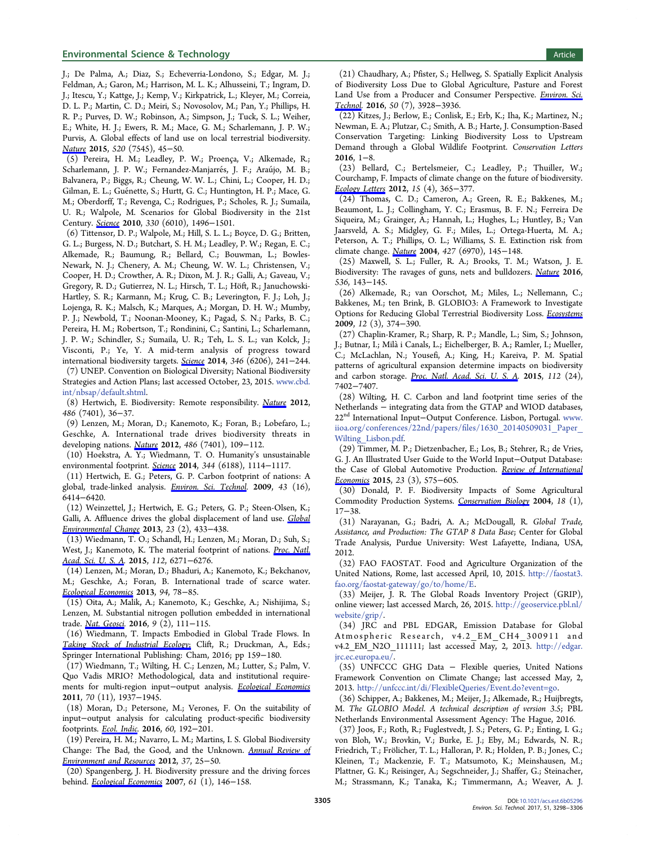<span id="page-7-0"></span>J.; De Palma, A.; Diaz, S.; Echeverria-Londono, S.; Edgar, M. J.; Feldman, A.; Garon, M.; Harrison, M. L. K.; Alhusseini, T.; Ingram, D. J.; Itescu, Y.; Kattge, J.; Kemp, V.; Kirkpatrick, L.; Kleyer, M.; Correia, D. L. P.; Martin, C. D.; Meiri, S.; Novosolov, M.; Pan, Y.; Phillips, H. R. P.; Purves, D. W.; Robinson, A.; Simpson, J.; Tuck, S. L.; Weiher, E.; White, H. J.; Ewers, R. M.; Mace, G. M.; Scharlemann, J. P. W.; Purvis, A. Global effects of land use on local terrestrial biodiversity. [Nature](http://pubs.acs.org/action/showLinks?pmid=25832402&crossref=10.1038%2Fnature14324&coi=1%3ACAS%3A528%3ADC%252BC2MXmtlKlu7k%253D) 2015, 520 (7545), 45−50.

(5) Pereira, H. M.; Leadley, P. W.; Proença, V.; Alkemade, R.; Scharlemann, J. P. W.; Fernandez-Manjarrés, J. F.; Araújo, M. B.; Balvanera, P.; Biggs, R.; Cheung, W. W. L.; Chini, L.; Cooper, H. D.; Gilman, E. L.; Guénette, S.; Hurtt, G. C.; Huntington, H. P.; Mace, G. M.; Oberdorff, T.; Revenga, C.; Rodrigues, P.; Scholes, R. J.; Sumaila, U. R.; Walpole, M. Scenarios for Global Biodiversity in the 21st Century. [Science](http://pubs.acs.org/action/showLinks?pmid=20978282&crossref=10.1126%2Fscience.1196624&coi=1%3ACAS%3A528%3ADC%252BC3cXhsFaht7nN) 2010, 330 (6010), 1496−1501.

(6) Tittensor, D. P.; Walpole, M.; Hill, S. L. L.; Boyce, D. G.; Britten, G. L.; Burgess, N. D.; Butchart, S. H. M.; Leadley, P. W.; Regan, E. C.; Alkemade, R.; Baumung, R.; Bellard, C.; Bouwman, L.; Bowles-Newark, N. J.; Chenery, A. M.; Cheung, W. W. L.; Christensen, V.; Cooper, H. D.; Crowther, A. R.; Dixon, M. J. R.; Galli, A.; Gaveau, V.; Gregory, R. D.; Gutierrez, N. L.; Hirsch, T. L.; Höft, R.; Januchowski-Hartley, S. R.; Karmann, M.; Krug, C. B.; Leverington, F. J.; Loh, J.; Lojenga, R. K.; Malsch, K.; Marques, A.; Morgan, D. H. W.; Mumby, P. J.; Newbold, T.; Noonan-Mooney, K.; Pagad, S. N.; Parks, B. C.; Pereira, H. M.; Robertson, T.; Rondinini, C.; Santini, L.; Scharlemann, J. P. W.; Schindler, S.; Sumaila, U. R.; Teh, L. S. L.; van Kolck, J.; Visconti, P.; Ye, Y. A mid-term analysis of progress toward international biodiversity targets. [Science](http://pubs.acs.org/action/showLinks?pmid=25278504&crossref=10.1126%2Fscience.1257484&coi=1%3ACAS%3A528%3ADC%252BC2cXhs12nsLbN) 2014, 346 (6206), 241−244. (7) UNEP. Convention on Biological Diversity; National Biodiversity

Strategies and Action Plans; last accessed October, 23, 2015. [www.cbd.](http://www.cbd.int/nbsap/default.shtml) [int/nbsap/default.shtml](http://www.cbd.int/nbsap/default.shtml).

(8) Hertwich, E. Biodiversity: Remote responsibility. [Nature](http://pubs.acs.org/action/showLinks?pmid=22678273&crossref=10.1038%2F486036a&coi=1%3ACAS%3A528%3ADC%252BC38Xot1Cmt7c%253D) 2012, 486 (7401), 36−37.

(9) Lenzen, M.; Moran, D.; Kanemoto, K.; Foran, B.; Lobefaro, L.; Geschke, A. International trade drives biodiversity threats in developing nations. [Nature](http://pubs.acs.org/action/showLinks?pmid=22678290&crossref=10.1038%2Fnature11145&coi=1%3ACAS%3A528%3ADC%252BC38Xot1Cgu78%253D) 2012, 486 (7401), 109−112.

(10) Hoekstra, A. Y.; Wiedmann, T. O. Humanity's unsustainable environmental footprint. [Science](http://pubs.acs.org/action/showLinks?pmid=24904155&crossref=10.1126%2Fscience.1248365&coi=1%3ACAS%3A528%3ADC%252BC2cXptVajtLo%253D) 2014, 344 (6188), 1114−1117.

(11) Hertwich, E. G.; Peters, G. P. Carbon footprint of nations: A global, trade-linked analysis. [Environ. Sci. Technol.](http://pubs.acs.org/action/showLinks?system=10.1021%2Fes803496a&coi=1%3ACAS%3A528%3ADC%252BD1MXnt1Sis7g%253D) 2009, 43 (16), 6414−6420.

(12) Weinzettel, J.; Hertwich, E. G.; Peters, G. P.; Steen-Olsen, K.; Galli, A. Affluence drives the global displacement of land use. [Global](http://pubs.acs.org/action/showLinks?crossref=10.1016%2Fj.gloenvcha.2012.12.010) [Environmental Change](http://pubs.acs.org/action/showLinks?crossref=10.1016%2Fj.gloenvcha.2012.12.010) 2013, 23 (2), 433−438.

(13) Wiedmann, T. O.; Schandl, H.; Lenzen, M.; Moran, D.; Suh, S.; West, J.; Kanemoto, K. The material footprint of nations. [Proc. Natl.](http://pubs.acs.org/action/showLinks?pmid=24003158&crossref=10.1073%2Fpnas.1220362110&coi=1%3ACAS%3A528%3ADC%252BC2cXjtlyru7k%253D) [Acad. Sci. U. S. A](http://pubs.acs.org/action/showLinks?pmid=24003158&crossref=10.1073%2Fpnas.1220362110&coi=1%3ACAS%3A528%3ADC%252BC2cXjtlyru7k%253D). 2015, 112, 6271−6276.

(14) Lenzen, M.; Moran, D.; Bhaduri, A.; Kanemoto, K.; Bekchanov, M.; Geschke, A.; Foran, B. International trade of scarce water. [Ecological Economics](http://pubs.acs.org/action/showLinks?crossref=10.1016%2Fj.ecolecon.2013.06.018) 2013, 94, 78−85.

(15) Oita, A.; Malik, A.; Kanemoto, K.; Geschke, A.; Nishijima, S.; Lenzen, M. Substantial nitrogen pollution embedded in international trade. [Nat. Geosci](http://pubs.acs.org/action/showLinks?crossref=10.1038%2Fngeo2635&coi=1%3ACAS%3A528%3ADC%252BC28XhsVSns7s%253D). 2016, 9 (2), 111−115.

(16) Wiedmann, T. Impacts Embodied in Global Trade Flows. In [Taking Stock of Industrial Ecology](http://pubs.acs.org/action/showLinks?crossref=10.1007%2F978-3-319-20571-7_8); Clift, R.; Druckman, A., Eds.; Springer International Publishing: Cham, 2016; pp 159−180.

(17) Wiedmann, T.; Wilting, H. C.; Lenzen, M.; Lutter, S.; Palm, V. Quo Vadis MRIO? Methodological, data and institutional requirements for multi-region input−output analysis. [Ecological Economics](http://pubs.acs.org/action/showLinks?crossref=10.1016%2Fj.ecolecon.2011.06.014) 2011, 70 (11), 1937−1945.

(18) Moran, D.; Petersone, M.; Verones, F. On the suitability of input−output analysis for calculating product-specific biodiversity footprints. [Ecol. Indic](http://pubs.acs.org/action/showLinks?crossref=10.1016%2Fj.ecolind.2015.06.015). 2016, 60, 192−201.

(19) Pereira, H. M.; Navarro, L. M.; Martins, I. S. Global Biodiversity Change: The Bad, the Good, and the Unknown. [Annual Review of](http://pubs.acs.org/action/showLinks?crossref=10.1146%2Fannurev-environ-042911-093511) [Environment and Resources](http://pubs.acs.org/action/showLinks?crossref=10.1146%2Fannurev-environ-042911-093511) 2012, 37, 25−50.

(20) Spangenberg, J. H. Biodiversity pressure and the driving forces behind. [Ecological Economics](http://pubs.acs.org/action/showLinks?crossref=10.1016%2Fj.ecolecon.2006.02.021) 2007, 61 (1), 146−158.

(21) Chaudhary, A.; Pfister, S.; Hellweg, S. Spatially Explicit Analysis of Biodiversity Loss Due to Global Agriculture, Pasture and Forest Land Use from a Producer and Consumer Perspective. *[Environ. Sci.](http://pubs.acs.org/action/showLinks?system=10.1021%2Facs.est.5b06153&coi=1%3ACAS%3A528%3ADC%252BC28Xjt1arur0%253D)* [Technol](http://pubs.acs.org/action/showLinks?system=10.1021%2Facs.est.5b06153&coi=1%3ACAS%3A528%3ADC%252BC28Xjt1arur0%253D). 2016, 50 (7), 3928−3936.

(22) Kitzes, J.; Berlow, E.; Conlisk, E.; Erb, K.; Iha, K.; Martinez, N.; Newman, E. A.; Plutzar, C.; Smith, A. B.; Harte, J. Consumption-Based Conservation Targeting: Linking Biodiversity Loss to Upstream Demand through a Global Wildlife Footprint. Conservation Letters 2016, 1−8.

(23) Bellard, C.; Bertelsmeier, C.; Leadley, P.; Thuiller, W.; Courchamp, F. Impacts of climate change on the future of biodiversity. [Ecology Letters](http://pubs.acs.org/action/showLinks?pmid=22257223&crossref=10.1111%2Fj.1461-0248.2011.01736.x&coi=1%3ACAS%3A280%3ADC%252BC38vgs1Cltw%253D%253D) 2012, 15 (4), 365−377.

(24) Thomas, C. D.; Cameron, A.; Green, R. E.; Bakkenes, M.; Beaumont, L. J.; Collingham, Y. C.; Erasmus, B. F. N.; Ferreira De Siqueira, M.; Grainger, A.; Hannah, L.; Hughes, L.; Huntley, B.; Van Jaarsveld, A. S.; Midgley, G. F.; Miles, L.; Ortega-Huerta, M. A.; Peterson, A. T.; Phillips, O. L.; Williams, S. E. Extinction risk from climate change. [Nature](http://pubs.acs.org/action/showLinks?pmid=14712274&crossref=10.1038%2Fnature02121&coi=1%3ACAS%3A528%3ADC%252BD2cXhtFOgtQ%253D%253D) 2004, 427 (6970), 145−148.

(25) Maxwell, S. L.; Fuller, R. A.; Brooks, T. M.; Watson, J. E. Biodiversity: The ravages of guns, nets and bulldozers. [Nature](http://pubs.acs.org/action/showLinks?pmid=27510207&crossref=10.1038%2F536143a&coi=1%3ACAS%3A528%3ADC%252BC28Xhtleis7nK) 2016, 536, 143−145.

(26) Alkemade, R.; van Oorschot, M.; Miles, L.; Nellemann, C.; Bakkenes, M.; ten Brink, B. GLOBIO3: A Framework to Investigate Options for Reducing Global Terrestrial Biodiversity Loss. [Ecosystems](http://pubs.acs.org/action/showLinks?crossref=10.1007%2Fs10021-009-9229-5) 2009, 12 (3), 374−390.

(27) Chaplin-Kramer, R.; Sharp, R. P.; Mandle, L.; Sim, S.; Johnson, J.; Butnar, I.; Milài Canals, L.; Eichelberger, B. A.; Ramler, I.; Mueller, C.; McLachlan, N.; Yousefi, A.; King, H.; Kareiva, P. M. Spatial patterns of agricultural expansion determine impacts on biodiversity and carbon storage. [Proc. Natl. Acad. Sci. U. S. A.](http://pubs.acs.org/action/showLinks?pmid=26082547&crossref=10.1073%2Fpnas.1406485112&coi=1%3ACAS%3A528%3ADC%252BC2MXhtVSitrbJ) 2015, 112 (24), 7402−7407.

(28) Wilting, H. C. Carbon and land footprint time series of the Netherlands − integrating data from the GTAP and WIOD databases, 22<sup>nd</sup> International Input–Output Conference. Lisbon, Portugal. [www.](http://www.iioa.org/conferences/22nd/papers/files/1630_20140509031_Paper_Wilting_Lisbon.pdf) [iioa.org/conferences/22nd/papers/](http://www.iioa.org/conferences/22nd/papers/files/1630_20140509031_Paper_Wilting_Lisbon.pdf)files/1630\_20140509031\_Paper\_ Wilting Lisbon.pdf.

(29) Timmer, M. P.; Dietzenbacher, E.; Los, B.; Stehrer, R.; de Vries, G. J. An Illustrated User Guide to the World Input−Output Database: the Case of Global Automotive Production. [Review of International](http://pubs.acs.org/action/showLinks?crossref=10.1111%2Froie.12178) [Economics](http://pubs.acs.org/action/showLinks?crossref=10.1111%2Froie.12178) 2015, 23 (3), 575−605.

(30) Donald, P. F. Biodiversity Impacts of Some Agricultural Commodity Production Systems. [Conservation Biology](http://pubs.acs.org/action/showLinks?crossref=10.1111%2Fj.1523-1739.2004.01803.x) 2004, 18 (1), 17−38.

(31) Narayanan, G.; Badri, A. A.; McDougall, R. Global Trade, Assistance, and Production: The GTAP 8 Data Base; Center for Global Trade Analysis, Purdue University: West Lafayette, Indiana, USA, 2012.

(32) FAO FAOSTAT. Food and Agriculture Organization of the United Nations, Rome, last accessed April, 10, 2015. [http://faostat3.](http://faostat3.fao.org/faostat-gateway/go/to/home/E) [fao.org/faostat-gateway/go/to/home/E](http://faostat3.fao.org/faostat-gateway/go/to/home/E).

(33) Meijer, J. R. The Global Roads Inventory Project (GRIP), online viewer; last accessed March, 26, 2015. [http://geoservice.pbl.nl/](http://geoservice.pbl.nl/website/grip/) [website/grip/](http://geoservice.pbl.nl/website/grip/).

(34) JRC and PBL EDGAR, Emission Database for Global Atmospheric Research, v4.2\_EM\_CH4\_300911 and v4.2 EM\_N2O\_111111; last accessed May, 2, 2013. [http://edgar.](http://edgar.jrc.ec.europa.eu/) [jrc.ec.europa.eu/](http://edgar.jrc.ec.europa.eu/).

(35) UNFCCC GHG Data − Flexible queries, United Nations Framework Convention on Climate Change; last accessed May, 2, 2013. [http://unfccc.int/di/FlexibleQueries/Event.do?event=go.](http://unfccc.int/di/FlexibleQueries/Event.do?event=go)

(36) Schipper, A.; Bakkenes, M.; Meijer, J.; Alkemade, R.; Huijbregts, M. The GLOBIO Model. A technical description of version 3.5; PBL Netherlands Environmental Assessment Agency: The Hague, 2016.

(37) Joos, F.; Roth, R.; Fuglestvedt, J. S.; Peters, G. P.; Enting, I. G.; von Bloh, W.; Brovkin, V.; Burke, E. J.; Eby, M.; Edwards, N. R.; Friedrich, T.; Frölicher, T. L.; Halloran, P. R.; Holden, P. B.; Jones, C.; Kleinen, T.; Mackenzie, F. T.; Matsumoto, K.; Meinshausen, M.; Plattner, G. K.; Reisinger, A.; Segschneider, J.; Shaffer, G.; Steinacher, M.; Strassmann, K.; Tanaka, K.; Timmermann, A.; Weaver, A. J.